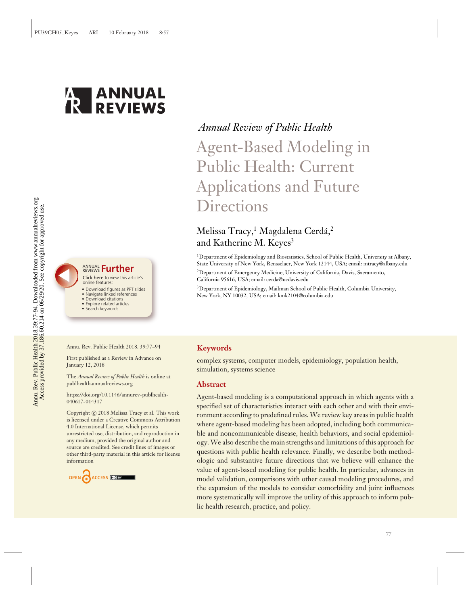



#### Click here to view this article's ANNUAL REVIEWS **[Further](https://www.annualreviews.org/doi/full/10.1146/annurev-publhealth-040617-014317)**

online features:

- 
- Download figures as PPT slides Navigate linked references
- Download citations • Explore related articles
- Search keywords

# *Annual Review of Public Health*

Agent-Based Modeling in Public Health: Current Applications and Future **Directions** 

## Melissa Tracy,<sup>1</sup> Magdalena Cerdá,<sup>2</sup> and Katherine M. Keyes<sup>3</sup>

1Department of Epidemiology and Biostatistics, School of Public Health, University at Albany, State University of New York, Rensselaer, New York 12144, USA; email: mtracy@albany.edu

2Department of Emergency Medicine, University of California, Davis, Sacramento, California 95616, USA; email: cerda@ucdavis.edu

<sup>3</sup>Department of Epidemiology, Mailman School of Public Health, Columbia University, New York, NY 10032, USA; email: kmk2104@columbia.edu

#### Annu. Rev. Public Health 2018. 39:77–94

First published as a Review in Advance on January 12, 2018

The *Annual Review of Public Health* is online at publhealth.annualreviews.org

[https://doi.org/10.1146/annurev-publhealth-](https://doi.org/10.1146/annurev-publhealth-040617-014317)[040617-014317](https://doi.org/10.1146/annurev-publhealth-040617-014317)

Copyright © 2018 Melissa Tracy et al. This work is licensed under a Creative Commons Attribution 4.0 International License, which permits unrestricted use, distribution, and reproduction in any medium, provided the original author and source are credited. See credit lines of images or other third-party material in this article for license information

OPEN RECESS CONTINUES

#### **Keywords**

complex systems, computer models, epidemiology, population health, simulation, systems science

#### **Abstract**

Agent-based modeling is a computational approach in which agents with a specified set of characteristics interact with each other and with their environment according to predefined rules. We review key areas in public health where agent-based modeling has been adopted, including both communicable and noncommunicable disease, health behaviors, and social epidemiology. We also describe the main strengths and limitations of this approach for questions with public health relevance. Finally, we describe both methodologic and substantive future directions that we believe will enhance the value of agent-based modeling for public health. In particular, advances in model validation, comparisons with other causal modeling procedures, and the expansion of the models to consider comorbidity and joint influences more systematically will improve the utility of this approach to inform public health research, practice, and policy.

*77*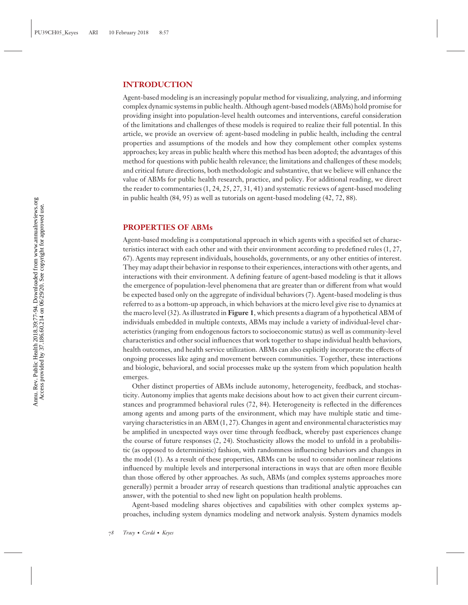### **INTRODUCTION**

Agent-based modeling is an increasingly popular method for visualizing, analyzing, and informing complex dynamic systems in public health. Although agent-based models (ABMs) hold promise for providing insight into population-level health outcomes and interventions, careful consideration of the limitations and challenges of these models is required to realize their full potential. In this article, we provide an overview of: agent-based modeling in public health, including the central properties and assumptions of the models and how they complement other complex systems approaches; key areas in public health where this method has been adopted; the advantages of this method for questions with public health relevance; the limitations and challenges of these models; and critical future directions, both methodologic and substantive, that we believe will enhance the value of ABMs for public health research, practice, and policy. For additional reading, we direct the reader to commentaries (1, 24, 25, 27, 31, 41) and systematic reviews of agent-based modeling in public health (84, 95) as well as tutorials on agent-based modeling (42, 72, 88).

#### **PROPERTIES OF ABMs**

Agent-based modeling is a computational approach in which agents with a specified set of characteristics interact with each other and with their environment according to predefined rules (1, 27, 67). Agents may represent individuals, households, governments, or any other entities of interest. They may adapt their behavior in response to their experiences, interactions with other agents, and interactions with their environment. A defining feature of agent-based modeling is that it allows the emergence of population-level phenomena that are greater than or different from what would be expected based only on the aggregate of individual behaviors (7). Agent-based modeling is thus referred to as a bottom-up approach, in which behaviors at the micro level give rise to dynamics at the macro level (32). As illustrated in **Figure 1**, which presents a diagram of a hypothetical ABM of individuals embedded in multiple contexts, ABMs may include a variety of individual-level characteristics (ranging from endogenous factors to socioeconomic status) as well as community-level characteristics and other social influences that work together to shape individual health behaviors, health outcomes, and health service utilization. ABMs can also explicitly incorporate the effects of ongoing processes like aging and movement between communities. Together, these interactions and biologic, behavioral, and social processes make up the system from which population health emerges.

Other distinct properties of ABMs include autonomy, heterogeneity, feedback, and stochasticity. Autonomy implies that agents make decisions about how to act given their current circumstances and programmed behavioral rules (72, 84). Heterogeneity is reflected in the differences among agents and among parts of the environment, which may have multiple static and timevarying characteristics in an ABM (1, 27). Changes in agent and environmental characteristics may be amplified in unexpected ways over time through feedback, whereby past experiences change the course of future responses (2, 24). Stochasticity allows the model to unfold in a probabilistic (as opposed to deterministic) fashion, with randomness influencing behaviors and changes in the model (1). As a result of these properties, ABMs can be used to consider nonlinear relations influenced by multiple levels and interpersonal interactions in ways that are often more flexible than those offered by other approaches. As such, ABMs (and complex systems approaches more generally) permit a broader array of research questions than traditional analytic approaches can answer, with the potential to shed new light on population health problems.

Agent-based modeling shares objectives and capabilities with other complex systems approaches, including system dynamics modeling and network analysis. System dynamics models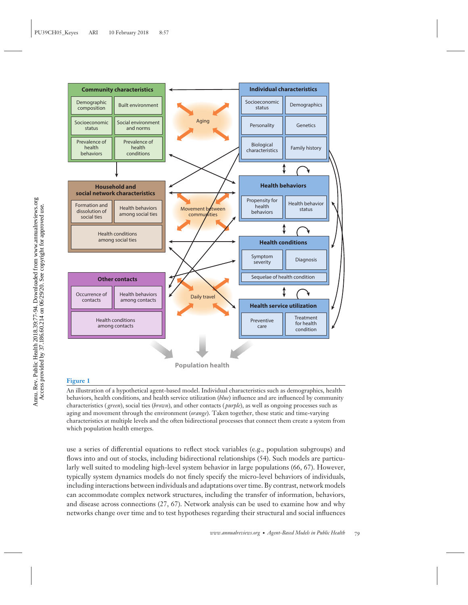

#### **Figure 1**

An illustration of a hypothetical agent-based model. Individual characteristics such as demographics, health behaviors, health conditions, and health service utilization (*blue*) influence and are influenced by community characteristics ( *green*), social ties (*brown*), and other contacts ( *purple*), as well as ongoing processes such as aging and movement through the environment (*orange*). Taken together, these static and time-varying characteristics at multiple levels and the often bidirectional processes that connect them create a system from which population health emerges.

use a series of differential equations to reflect stock variables (e.g., population subgroups) and flows into and out of stocks, including bidirectional relationships (54). Such models are particularly well suited to modeling high-level system behavior in large populations (66, 67). However, typically system dynamics models do not finely specify the micro-level behaviors of individuals, including interactions between individuals and adaptations over time. By contrast, network models can accommodate complex network structures, including the transfer of information, behaviors, and disease across connections (27, 67). Network analysis can be used to examine how and why networks change over time and to test hypotheses regarding their structural and social influences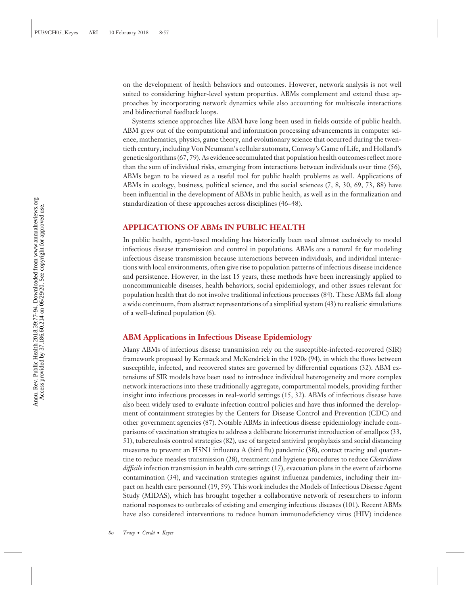on the development of health behaviors and outcomes. However, network analysis is not well suited to considering higher-level system properties. ABMs complement and extend these approaches by incorporating network dynamics while also accounting for multiscale interactions and bidirectional feedback loops.

Systems science approaches like ABM have long been used in fields outside of public health. ABM grew out of the computational and information processing advancements in computer science, mathematics, physics, game theory, and evolutionary science that occurred during the twentieth century, including Von Neumann's cellular automata, Conway's Game of Life, and Holland's genetic algorithms (67, 79). As evidence accumulated that population health outcomes reflect more than the sum of individual risks, emerging from interactions between individuals over time (56), ABMs began to be viewed as a useful tool for public health problems as well. Applications of ABMs in ecology, business, political science, and the social sciences (7, 8, 30, 69, 73, 88) have been influential in the development of ABMs in public health, as well as in the formalization and standardization of these approaches across disciplines (46–48).

#### **APPLICATIONS OF ABMs IN PUBLIC HEALTH**

In public health, agent-based modeling has historically been used almost exclusively to model infectious disease transmission and control in populations. ABMs are a natural fit for modeling infectious disease transmission because interactions between individuals, and individual interactions with local environments, often give rise to population patterns of infectious disease incidence and persistence. However, in the last 15 years, these methods have been increasingly applied to noncommunicable diseases, health behaviors, social epidemiology, and other issues relevant for population health that do not involve traditional infectious processes (84). These ABMs fall along a wide continuum, from abstract representations of a simplified system (43) to realistic simulations of a well-defined population (6).

#### **ABM Applications in Infectious Disease Epidemiology**

Many ABMs of infectious disease transmission rely on the susceptible-infected-recovered (SIR) framework proposed by Kermack and McKendrick in the 1920s (94), in which the flows between susceptible, infected, and recovered states are governed by differential equations (32). ABM extensions of SIR models have been used to introduce individual heterogeneity and more complex network interactions into these traditionally aggregate, compartmental models, providing further insight into infectious processes in real-world settings (15, 32). ABMs of infectious disease have also been widely used to evaluate infection control policies and have thus informed the development of containment strategies by the Centers for Disease Control and Prevention (CDC) and other government agencies (87). Notable ABMs in infectious disease epidemiology include comparisons of vaccination strategies to address a deliberate bioterrorist introduction of smallpox (33, 51), tuberculosis control strategies (82), use of targeted antiviral prophylaxis and social distancing measures to prevent an H5N1 influenza A (bird flu) pandemic (38), contact tracing and quarantine to reduce measles transmission (28), treatment and hygiene procedures to reduce *Clostridium difficile* infection transmission in health care settings (17), evacuation plans in the event of airborne contamination (34), and vaccination strategies against influenza pandemics, including their impact on health care personnel (19, 59). This work includes the Models of Infectious Disease Agent Study (MIDAS), which has brought together a collaborative network of researchers to inform national responses to outbreaks of existing and emerging infectious diseases (101). Recent ABMs have also considered interventions to reduce human immunodeficiency virus (HIV) incidence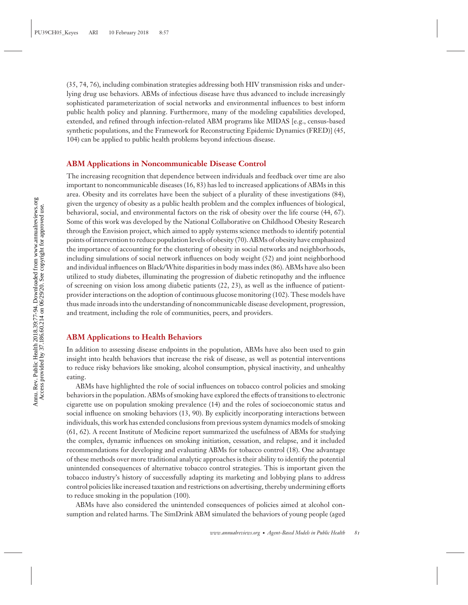(35, 74, 76), including combination strategies addressing both HIV transmission risks and underlying drug use behaviors. ABMs of infectious disease have thus advanced to include increasingly sophisticated parameterization of social networks and environmental influences to best inform public health policy and planning. Furthermore, many of the modeling capabilities developed, extended, and refined through infection-related ABM programs like MIDAS [e.g., census-based synthetic populations, and the Framework for Reconstructing Epidemic Dynamics (FRED)] (45, 104) can be applied to public health problems beyond infectious disease.

#### **ABM Applications in Noncommunicable Disease Control**

The increasing recognition that dependence between individuals and feedback over time are also important to noncommunicable diseases (16, 83) has led to increased applications of ABMs in this area. Obesity and its correlates have been the subject of a plurality of these investigations (84), given the urgency of obesity as a public health problem and the complex influences of biological, behavioral, social, and environmental factors on the risk of obesity over the life course (44, 67). Some of this work was developed by the National Collaborative on Childhood Obesity Research through the Envision project, which aimed to apply systems science methods to identify potential points of intervention to reduce population levels of obesity (70). ABMs of obesity have emphasized the importance of accounting for the clustering of obesity in social networks and neighborhoods, including simulations of social network influences on body weight (52) and joint neighborhood and individual influences on Black/White disparities in body mass index (86). ABMs have also been utilized to study diabetes, illuminating the progression of diabetic retinopathy and the influence of screening on vision loss among diabetic patients (22, 23), as well as the influence of patientprovider interactions on the adoption of continuous glucose monitoring (102). These models have thus made inroads into the understanding of noncommunicable disease development, progression, and treatment, including the role of communities, peers, and providers.

#### **ABM Applications to Health Behaviors**

In addition to assessing disease endpoints in the population, ABMs have also been used to gain insight into health behaviors that increase the risk of disease, as well as potential interventions to reduce risky behaviors like smoking, alcohol consumption, physical inactivity, and unhealthy eating.

ABMs have highlighted the role of social influences on tobacco control policies and smoking behaviors in the population. ABMs of smoking have explored the effects of transitions to electronic cigarette use on population smoking prevalence (14) and the roles of socioeconomic status and social influence on smoking behaviors (13, 90). By explicitly incorporating interactions between individuals, this work has extended conclusions from previous system dynamics models of smoking (61, 62). A recent Institute of Medicine report summarized the usefulness of ABMs for studying the complex, dynamic influences on smoking initiation, cessation, and relapse, and it included recommendations for developing and evaluating ABMs for tobacco control (18). One advantage of these methods over more traditional analytic approaches is their ability to identify the potential unintended consequences of alternative tobacco control strategies. This is important given the tobacco industry's history of successfully adapting its marketing and lobbying plans to address control policies like increased taxation and restrictions on advertising, thereby undermining efforts to reduce smoking in the population (100).

ABMs have also considered the unintended consequences of policies aimed at alcohol consumption and related harms. The SimDrink ABM simulated the behaviors of young people (aged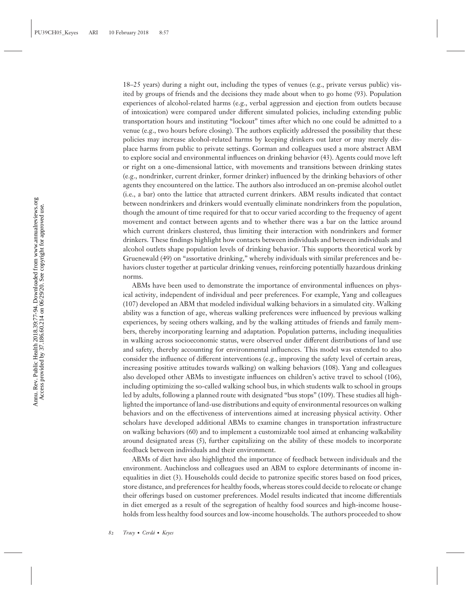18–25 years) during a night out, including the types of venues (e.g., private versus public) visited by groups of friends and the decisions they made about when to go home (93). Population experiences of alcohol-related harms (e.g., verbal aggression and ejection from outlets because of intoxication) were compared under different simulated policies, including extending public transportation hours and instituting "lockout" times after which no one could be admitted to a venue (e.g., two hours before closing). The authors explicitly addressed the possibility that these policies may increase alcohol-related harms by keeping drinkers out later or may merely displace harms from public to private settings. Gorman and colleagues used a more abstract ABM to explore social and environmental influences on drinking behavior (43). Agents could move left or right on a one-dimensional lattice, with movements and transitions between drinking states (e.g., nondrinker, current drinker, former drinker) influenced by the drinking behaviors of other agents they encountered on the lattice. The authors also introduced an on-premise alcohol outlet (i.e., a bar) onto the lattice that attracted current drinkers. ABM results indicated that contact between nondrinkers and drinkers would eventually eliminate nondrinkers from the population, though the amount of time required for that to occur varied according to the frequency of agent movement and contact between agents and to whether there was a bar on the lattice around which current drinkers clustered, thus limiting their interaction with nondrinkers and former drinkers. These findings highlight how contacts between individuals and between individuals and alcohol outlets shape population levels of drinking behavior. This supports theoretical work by Gruenewald (49) on "assortative drinking," whereby individuals with similar preferences and behaviors cluster together at particular drinking venues, reinforcing potentially hazardous drinking norms.

ABMs have been used to demonstrate the importance of environmental influences on physical activity, independent of individual and peer preferences. For example, Yang and colleagues (107) developed an ABM that modeled individual walking behaviors in a simulated city. Walking ability was a function of age, whereas walking preferences were influenced by previous walking experiences, by seeing others walking, and by the walking attitudes of friends and family members, thereby incorporating learning and adaptation. Population patterns, including inequalities in walking across socioeconomic status, were observed under different distributions of land use and safety, thereby accounting for environmental influences. This model was extended to also consider the influence of different interventions (e.g., improving the safety level of certain areas, increasing positive attitudes towards walking) on walking behaviors (108). Yang and colleagues also developed other ABMs to investigate influences on children's active travel to school (106), including optimizing the so-called walking school bus, in which students walk to school in groups led by adults, following a planned route with designated "bus stops" (109). These studies all highlighted the importance of land-use distributions and equity of environmental resources on walking behaviors and on the effectiveness of interventions aimed at increasing physical activity. Other scholars have developed additional ABMs to examine changes in transportation infrastructure on walking behaviors (60) and to implement a customizable tool aimed at enhancing walkability around designated areas (5), further capitalizing on the ability of these models to incorporate feedback between individuals and their environment.

ABMs of diet have also highlighted the importance of feedback between individuals and the environment. Auchincloss and colleagues used an ABM to explore determinants of income inequalities in diet (3). Households could decide to patronize specific stores based on food prices, store distance, and preferences for healthy foods, whereas stores could decide to relocate or change their offerings based on customer preferences. Model results indicated that income differentials in diet emerged as a result of the segregation of healthy food sources and high-income households from less healthy food sources and low-income households. The authors proceeded to show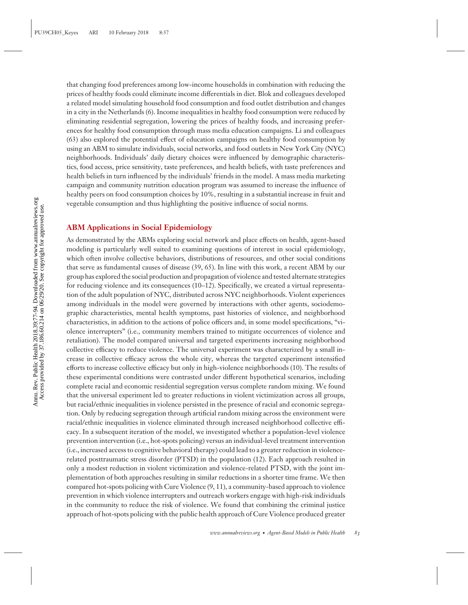that changing food preferences among low-income households in combination with reducing the prices of healthy foods could eliminate income differentials in diet. Blok and colleagues developed a related model simulating household food consumption and food outlet distribution and changes in a city in the Netherlands (6). Income inequalities in healthy food consumption were reduced by eliminating residential segregation, lowering the prices of healthy foods, and increasing preferences for healthy food consumption through mass media education campaigns. Li and colleagues (63) also explored the potential effect of education campaigns on healthy food consumption by using an ABM to simulate individuals, social networks, and food outlets in New York City (NYC) neighborhoods. Individuals' daily dietary choices were influenced by demographic characteristics, food access, price sensitivity, taste preferences, and health beliefs, with taste preferences and health beliefs in turn influenced by the individuals' friends in the model. A mass media marketing campaign and community nutrition education program was assumed to increase the influence of healthy peers on food consumption choices by 10%, resulting in a substantial increase in fruit and vegetable consumption and thus highlighting the positive influence of social norms.

#### **ABM Applications in Social Epidemiology**

As demonstrated by the ABMs exploring social network and place effects on health, agent-based modeling is particularly well suited to examining questions of interest in social epidemiology, which often involve collective behaviors, distributions of resources, and other social conditions that serve as fundamental causes of disease (39, 65). In line with this work, a recent ABM by our group has explored the social production and propagation of violence and tested alternate strategies for reducing violence and its consequences (10–12). Specifically, we created a virtual representation of the adult population of NYC, distributed across NYC neighborhoods. Violent experiences among individuals in the model were governed by interactions with other agents, sociodemographic characteristics, mental health symptoms, past histories of violence, and neighborhood characteristics, in addition to the actions of police officers and, in some model specifications, "violence interrupters" (i.e., community members trained to mitigate occurrences of violence and retaliation). The model compared universal and targeted experiments increasing neighborhood collective efficacy to reduce violence. The universal experiment was characterized by a small increase in collective efficacy across the whole city, whereas the targeted experiment intensified efforts to increase collective efficacy but only in high-violence neighborhoods (10). The results of these experimental conditions were contrasted under different hypothetical scenarios, including complete racial and economic residential segregation versus complete random mixing. We found that the universal experiment led to greater reductions in violent victimization across all groups, but racial/ethnic inequalities in violence persisted in the presence of racial and economic segregation. Only by reducing segregation through artificial random mixing across the environment were racial/ethnic inequalities in violence eliminated through increased neighborhood collective efficacy. In a subsequent iteration of the model, we investigated whether a population-level violence prevention intervention (i.e., hot-spots policing) versus an individual-level treatment intervention (i.e., increased access to cognitive behavioral therapy) could lead to a greater reduction in violencerelated posttraumatic stress disorder (PTSD) in the population (12). Each approach resulted in only a modest reduction in violent victimization and violence-related PTSD, with the joint implementation of both approaches resulting in similar reductions in a shorter time frame. We then compared hot-spots policing with Cure Violence (9, 11), a community-based approach to violence prevention in which violence interrupters and outreach workers engage with high-risk individuals in the community to reduce the risk of violence. We found that combining the criminal justice approach of hot-spots policing with the public health approach of Cure Violence produced greater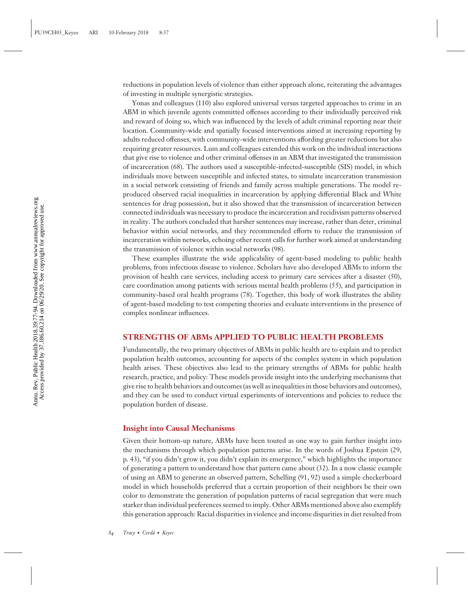reductions in population levels of violence than either approach alone, reiterating the advantages of investing in multiple synergistic strategies.

Yonas and colleagues (110) also explored universal versus targeted approaches to crime in an ABM in which juvenile agents committed offenses according to their individually perceived risk and reward of doing so, which was influenced by the levels of adult criminal reporting near their location. Community-wide and spatially focused interventions aimed at increasing reporting by adults reduced offenses, with community-wide interventions affording greater reductions but also requiring greater resources. Lum and colleagues extended this work on the individual interactions that give rise to violence and other criminal offenses in an ABM that investigated the transmission of incarceration (68). The authors used a susceptible-infected-susceptible (SIS) model, in which individuals move between susceptible and infected states, to simulate incarceration transmission in a social network consisting of friends and family across multiple generations. The model reproduced observed racial inequalities in incarceration by applying differential Black and White sentences for drug possession, but it also showed that the transmission of incarceration between connected individuals was necessary to produce the incarceration and recidivism patterns observed in reality. The authors concluded that harsher sentences may increase, rather than deter, criminal behavior within social networks, and they recommended efforts to reduce the transmission of incarceration within networks, echoing other recent calls for further work aimed at understanding the transmission of violence within social networks (98).

These examples illustrate the wide applicability of agent-based modeling to public health problems, from infectious disease to violence. Scholars have also developed ABMs to inform the provision of health care services, including access to primary care services after a disaster (50), care coordination among patients with serious mental health problems (55), and participation in community-based oral health programs (78). Together, this body of work illustrates the ability of agent-based modeling to test competing theories and evaluate interventions in the presence of complex nonlinear influences.

#### **STRENGTHS OF ABMs APPLIED TO PUBLIC HEALTH PROBLEMS**

Fundamentally, the two primary objectives of ABMs in public health are to explain and to predict population health outcomes, accounting for aspects of the complex system in which population health arises. These objectives also lead to the primary strengths of ABMs for public health research, practice, and policy: These models provide insight into the underlying mechanisms that give rise to health behaviors and outcomes (as well as inequalities in those behaviors and outcomes), and they can be used to conduct virtual experiments of interventions and policies to reduce the population burden of disease.

#### **Insight into Causal Mechanisms**

Given their bottom-up nature, ABMs have been touted as one way to gain further insight into the mechanisms through which population patterns arise. In the words of Joshua Epstein (29, p. 43), "if you didn't grow it, you didn't explain its emergence," which highlights the importance of generating a pattern to understand how that pattern came about (32). In a now classic example of using an ABM to generate an observed pattern, Schelling (91, 92) used a simple checkerboard model in which households preferred that a certain proportion of their neighbors be their own color to demonstrate the generation of population patterns of racial segregation that were much starker than individual preferences seemed to imply. Other ABMs mentioned above also exemplify this generation approach: Racial disparities in violence and income disparities in diet resulted from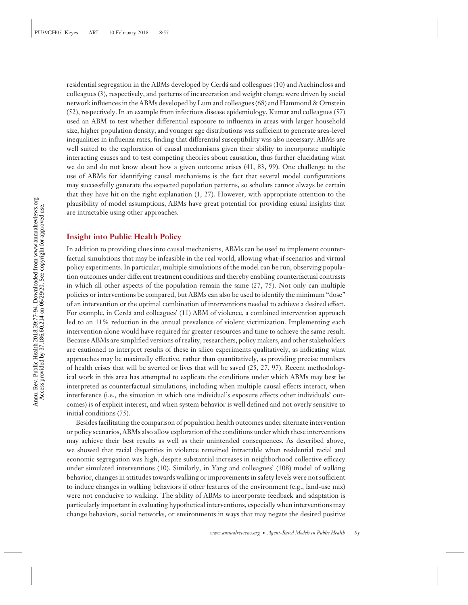residential segregation in the ABMs developed by Cerda and colleagues (10) and Auchincloss and ´ colleagues (3), respectively, and patterns of incarceration and weight change were driven by social network influences in the ABMs developed by Lum and colleagues (68) and Hammond & Ornstein (52), respectively. In an example from infectious disease epidemiology, Kumar and colleagues (57) used an ABM to test whether differential exposure to influenza in areas with larger household size, higher population density, and younger age distributions was sufficient to generate area-level inequalities in influenza rates, finding that differential susceptibility was also necessary. ABMs are well suited to the exploration of causal mechanisms given their ability to incorporate multiple interacting causes and to test competing theories about causation, thus further elucidating what we do and do not know about how a given outcome arises (41, 83, 99). One challenge to the use of ABMs for identifying causal mechanisms is the fact that several model configurations may successfully generate the expected population patterns, so scholars cannot always be certain that they have hit on the right explanation (1, 27). However, with appropriate attention to the plausibility of model assumptions, ABMs have great potential for providing causal insights that are intractable using other approaches.

#### **Insight into Public Health Policy**

In addition to providing clues into causal mechanisms, ABMs can be used to implement counterfactual simulations that may be infeasible in the real world, allowing what-if scenarios and virtual policy experiments. In particular, multiple simulations of the model can be run, observing population outcomes under different treatment conditions and thereby enabling counterfactual contrasts in which all other aspects of the population remain the same  $(27, 75)$ . Not only can multiple policies or interventions be compared, but ABMs can also be used to identify the minimum "dose" of an intervention or the optimal combination of interventions needed to achieve a desired effect. For example, in Cerdá and colleagues' (11) ABM of violence, a combined intervention approach led to an 11% reduction in the annual prevalence of violent victimization. Implementing each intervention alone would have required far greater resources and time to achieve the same result. Because ABMs are simplified versions of reality, researchers, policy makers, and other stakeholders are cautioned to interpret results of these in silico experiments qualitatively, as indicating what approaches may be maximally effective, rather than quantitatively, as providing precise numbers of health crises that will be averted or lives that will be saved (25, 27, 97). Recent methodological work in this area has attempted to explicate the conditions under which ABMs may best be interpreted as counterfactual simulations, including when multiple causal effects interact, when interference (i.e., the situation in which one individual's exposure affects other individuals' outcomes) is of explicit interest, and when system behavior is well defined and not overly sensitive to initial conditions (75).

Besides facilitating the comparison of population health outcomes under alternate intervention or policy scenarios, ABMs also allow exploration of the conditions under which these interventions may achieve their best results as well as their unintended consequences. As described above, we showed that racial disparities in violence remained intractable when residential racial and economic segregation was high, despite substantial increases in neighborhood collective efficacy under simulated interventions (10). Similarly, in Yang and colleagues' (108) model of walking behavior, changes in attitudes towards walking or improvements in safety levels were not sufficient to induce changes in walking behaviors if other features of the environment (e.g., land-use mix) were not conducive to walking. The ability of ABMs to incorporate feedback and adaptation is particularly important in evaluating hypothetical interventions, especially when interventions may change behaviors, social networks, or environments in ways that may negate the desired positive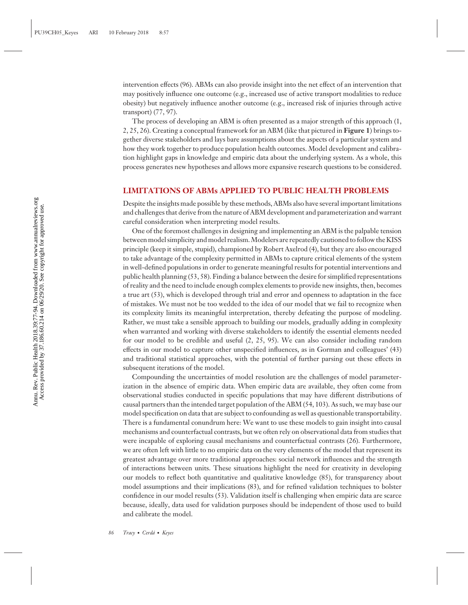intervention effects (96). ABMs can also provide insight into the net effect of an intervention that may positively influence one outcome (e.g., increased use of active transport modalities to reduce obesity) but negatively influence another outcome (e.g., increased risk of injuries through active transport) (77, 97).

The process of developing an ABM is often presented as a major strength of this approach (1, 2, 25, 26). Creating a conceptual framework for an ABM (like that pictured in **Figure 1**) brings together diverse stakeholders and lays bare assumptions about the aspects of a particular system and how they work together to produce population health outcomes. Model development and calibration highlight gaps in knowledge and empiric data about the underlying system. As a whole, this process generates new hypotheses and allows more expansive research questions to be considered.

#### **LIMITATIONS OF ABMs APPLIED TO PUBLIC HEALTH PROBLEMS**

Despite the insights made possible by these methods, ABMs also have several important limitations and challenges that derive from the nature of ABM development and parameterization and warrant careful consideration when interpreting model results.

One of the foremost challenges in designing and implementing an ABM is the palpable tension between model simplicity and model realism.Modelers are repeatedly cautioned to follow the KISS principle (keep it simple, stupid), championed by Robert Axelrod (4), but they are also encouraged to take advantage of the complexity permitted in ABMs to capture critical elements of the system in well-defined populations in order to generate meaningful results for potential interventions and public health planning (53, 58). Finding a balance between the desire for simplified representations of reality and the need to include enough complex elements to provide new insights, then, becomes a true art (53), which is developed through trial and error and openness to adaptation in the face of mistakes. We must not be too wedded to the idea of our model that we fail to recognize when its complexity limits its meaningful interpretation, thereby defeating the purpose of modeling. Rather, we must take a sensible approach to building our models, gradually adding in complexity when warranted and working with diverse stakeholders to identify the essential elements needed for our model to be credible and useful (2, 25, 95). We can also consider including random effects in our model to capture other unspecified influences, as in Gorman and colleagues' (43) and traditional statistical approaches, with the potential of further parsing out these effects in subsequent iterations of the model.

Compounding the uncertainties of model resolution are the challenges of model parameterization in the absence of empiric data. When empiric data are available, they often come from observational studies conducted in specific populations that may have different distributions of causal partners than the intended target population of the ABM (54, 103). As such, we may base our model specification on data that are subject to confounding as well as questionable transportability. There is a fundamental conundrum here: We want to use these models to gain insight into causal mechanisms and counterfactual contrasts, but we often rely on observational data from studies that were incapable of exploring causal mechanisms and counterfactual contrasts (26). Furthermore, we are often left with little to no empiric data on the very elements of the model that represent its greatest advantage over more traditional approaches: social network influences and the strength of interactions between units. These situations highlight the need for creativity in developing our models to reflect both quantitative and qualitative knowledge (85), for transparency about model assumptions and their implications (83), and for refined validation techniques to bolster confidence in our model results (53). Validation itself is challenging when empiric data are scarce because, ideally, data used for validation purposes should be independent of those used to build and calibrate the model.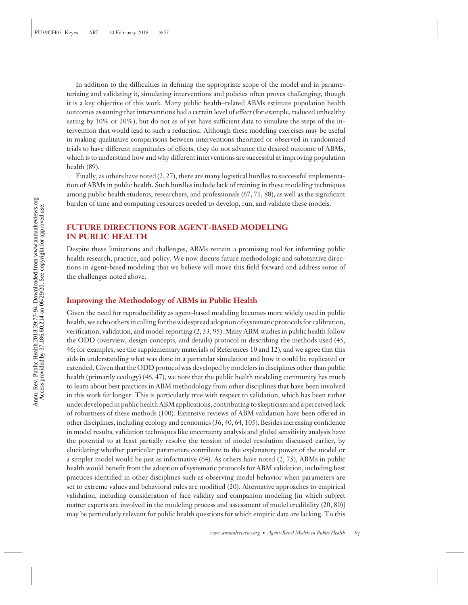In addition to the difficulties in defining the appropriate scope of the model and in parameterizing and validating it, simulating interventions and policies often proves challenging, though it is a key objective of this work. Many public health–related ABMs estimate population health outcomes assuming that interventions had a certain level of effect (for example, reduced unhealthy eating by 10% or 20%), but do not as of yet have sufficient data to simulate the steps of the intervention that would lead to such a reduction. Although these modeling exercises may be useful in making qualitative comparisons between interventions theorized or observed in randomized trials to have different magnitudes of effects, they do not advance the desired outcome of ABMs, which is to understand how and why different interventions are successful at improving population health (89).

Finally, as others have noted  $(2, 27)$ , there are many logistical hurdles to successful implementation of ABMs in public health. Such hurdles include lack of training in these modeling techniques among public health students, researchers, and professionals (67, 71, 88), as well as the significant burden of time and computing resources needed to develop, run, and validate these models.

#### **FUTURE DIRECTIONS FOR AGENT-BASED MODELING IN PUBLIC HEALTH**

Despite these limitations and challenges, ABMs remain a promising tool for informing public health research, practice, and policy. We now discuss future methodologic and substantive directions in agent-based modeling that we believe will move this field forward and address some of the challenges noted above.

#### **Improving the Methodology of ABMs in Public Health**

Given the need for reproducibility as agent-based modeling becomes more widely used in public health, we echo others in calling for the widespread adoption of systematic protocols for calibration, verification, validation, and model reporting (2, 33, 95). Many ABM studies in public health follow the ODD (overview, design concepts, and details) protocol in describing the methods used (45, 46; for examples, see the supplementary materials of References 10 and 12), and we agree that this aids in understanding what was done in a particular simulation and how it could be replicated or extended. Given that the ODD protocol was developed by modelers in disciplines other than public health (primarily ecology) (46, 47), we note that the public health modeling community has much to learn about best practices in ABM methodology from other disciplines that have been involved in this work far longer. This is particularly true with respect to validation, which has been rather underdeveloped in public health ABM applications, contributing to skepticism and a perceived lack of robustness of these methods (100). Extensive reviews of ABM validation have been offered in other disciplines, including ecology and economics (36, 40, 64, 105). Besides increasing confidence in model results, validation techniques like uncertainty analysis and global sensitivity analysis have the potential to at least partially resolve the tension of model resolution discussed earlier, by elucidating whether particular parameters contribute to the explanatory power of the model or a simpler model would be just as informative (64). As others have noted (2, 75), ABMs in public health would benefit from the adoption of systematic protocols for ABM validation, including best practices identified in other disciplines such as observing model behavior when parameters are set to extreme values and behavioral rules are modified (20). Alternative approaches to empirical validation, including consideration of face validity and companion modeling [in which subject matter experts are involved in the modeling process and assessment of model credibility (20, 80)] may be particularly relevant for public health questions for which empiric data are lacking. To this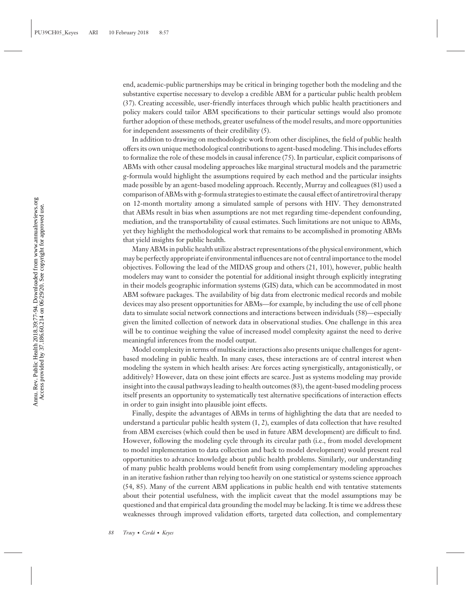end, academic-public partnerships may be critical in bringing together both the modeling and the substantive expertise necessary to develop a credible ABM for a particular public health problem (37). Creating accessible, user-friendly interfaces through which public health practitioners and policy makers could tailor ABM specifications to their particular settings would also promote further adoption of these methods, greater usefulness of the model results, and more opportunities for independent assessments of their credibility (5).

In addition to drawing on methodologic work from other disciplines, the field of public health offers its own unique methodological contributions to agent-based modeling. This includes efforts to formalize the role of these models in causal inference (75). In particular, explicit comparisons of ABMs with other causal modeling approaches like marginal structural models and the parametric g-formula would highlight the assumptions required by each method and the particular insights made possible by an agent-based modeling approach. Recently, Murray and colleagues (81) used a comparison of ABMs with g-formula strategies to estimate the causal effect of antiretroviral therapy on 12-month mortality among a simulated sample of persons with HIV. They demonstrated that ABMs result in bias when assumptions are not met regarding time-dependent confounding, mediation, and the transportability of causal estimates. Such limitations are not unique to ABMs, yet they highlight the methodological work that remains to be accomplished in promoting ABMs that yield insights for public health.

Many ABMs in public health utilize abstract representations of the physical environment, which may be perfectly appropriate if environmental influences are not of central importance to the model objectives. Following the lead of the MIDAS group and others (21, 101), however, public health modelers may want to consider the potential for additional insight through explicitly integrating in their models geographic information systems (GIS) data, which can be accommodated in most ABM software packages. The availability of big data from electronic medical records and mobile devices may also present opportunities for ABMs—for example, by including the use of cell phone data to simulate social network connections and interactions between individuals (58)—especially given the limited collection of network data in observational studies. One challenge in this area will be to continue weighing the value of increased model complexity against the need to derive meaningful inferences from the model output.

Model complexity in terms of multiscale interactions also presents unique challenges for agentbased modeling in public health. In many cases, these interactions are of central interest when modeling the system in which health arises: Are forces acting synergistically, antagonistically, or additively? However, data on these joint effects are scarce. Just as systems modeling may provide insight into the causal pathways leading to health outcomes (83), the agent-based modeling process itself presents an opportunity to systematically test alternative specifications of interaction effects in order to gain insight into plausible joint effects.

Finally, despite the advantages of ABMs in terms of highlighting the data that are needed to understand a particular public health system (1, 2), examples of data collection that have resulted from ABM exercises (which could then be used in future ABM development) are difficult to find. However, following the modeling cycle through its circular path (i.e., from model development to model implementation to data collection and back to model development) would present real opportunities to advance knowledge about public health problems. Similarly, our understanding of many public health problems would benefit from using complementary modeling approaches in an iterative fashion rather than relying too heavily on one statistical or systems science approach (54, 85). Many of the current ABM applications in public health end with tentative statements about their potential usefulness, with the implicit caveat that the model assumptions may be questioned and that empirical data grounding the model may be lacking. It is time we address these weaknesses through improved validation efforts, targeted data collection, and complementary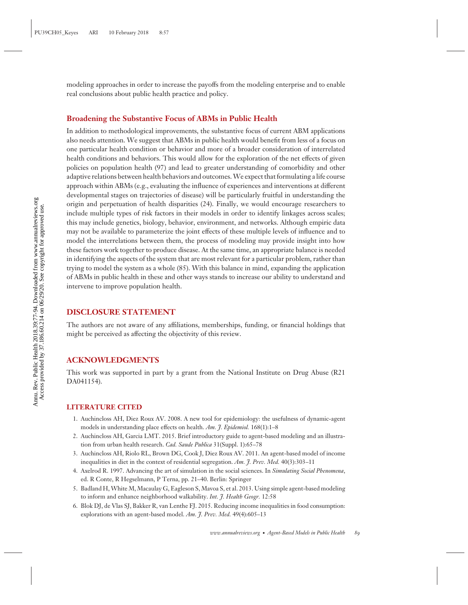modeling approaches in order to increase the payoffs from the modeling enterprise and to enable real conclusions about public health practice and policy.

#### **Broadening the Substantive Focus of ABMs in Public Health**

In addition to methodological improvements, the substantive focus of current ABM applications also needs attention. We suggest that ABMs in public health would benefit from less of a focus on one particular health condition or behavior and more of a broader consideration of interrelated health conditions and behaviors. This would allow for the exploration of the net effects of given policies on population health (97) and lead to greater understanding of comorbidity and other adaptive relations between health behaviors and outcomes.We expect that formulating a life course approach within ABMs (e.g., evaluating the influence of experiences and interventions at different developmental stages on trajectories of disease) will be particularly fruitful in understanding the origin and perpetuation of health disparities (24). Finally, we would encourage researchers to include multiple types of risk factors in their models in order to identify linkages across scales; this may include genetics, biology, behavior, environment, and networks. Although empiric data may not be available to parameterize the joint effects of these multiple levels of influence and to model the interrelations between them, the process of modeling may provide insight into how these factors work together to produce disease. At the same time, an appropriate balance is needed in identifying the aspects of the system that are most relevant for a particular problem, rather than trying to model the system as a whole (85). With this balance in mind, expanding the application of ABMs in public health in these and other ways stands to increase our ability to understand and intervene to improve population health.

#### **DISCLOSURE STATEMENT**

The authors are not aware of any affiliations, memberships, funding, or financial holdings that might be perceived as affecting the objectivity of this review.

#### **ACKNOWLEDGMENTS**

This work was supported in part by a grant from the National Institute on Drug Abuse (R21 DA041154).

#### **LITERATURE CITED**

- 1. Auchincloss AH, Diez Roux AV. 2008. A new tool for epidemiology: the usefulness of dynamic-agent models in understanding place effects on health. *Am. J. Epidemiol.* 168(1):1–8
- 2. Auchincloss AH, Garcia LMT. 2015. Brief introductory guide to agent-based modeling and an illustration from urban health research. *Cad. Saude Publica* 31(Suppl. 1):65–78
- 3. Auchincloss AH, Riolo RL, Brown DG, Cook J, Diez Roux AV. 2011. An agent-based model of income inequalities in diet in the context of residential segregation. *Am. J. Prev. Med.* 40(3):303–11
- 4. Axelrod R. 1997. Advancing the art of simulation in the social sciences. In *Simulating Social Phenomena*, ed. R Conte, R Hegselmann, P Terna, pp. 21–40. Berlin: Springer
- 5. Badland H, White M, Macaulay G, Eagleson S, Mavoa S, et al. 2013. Using simple agent-based modeling to inform and enhance neighborhood walkability. *Int. J. Health Geogr.* 12:58
- 6. Blok DJ, de Vlas SJ, Bakker R, van Lenthe FJ. 2015. Reducing income inequalities in food consumption: explorations with an agent-based model. *Am. J. Prev. Med.* 49(4):605–13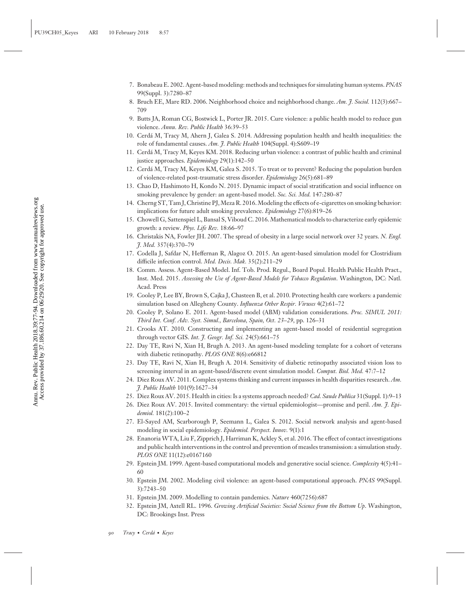- 7. Bonabeau E. 2002. Agent-based modeling: methods and techniques for simulating human systems. *PNAS* 99(Suppl. 3):7280–87
- 8. Bruch EE, Mare RD. 2006. Neighborhood choice and neighborhood change. *Am. J. Sociol.* 112(3):667– 709
- 9. Butts JA, Roman CG, Bostwick L, Porter JR. 2015. Cure violence: a public health model to reduce gun violence. *Annu. Rev. Public Health* 36:39–53
- 10. Cerda M, Tracy M, Ahern J, Galea S. 2014. Addressing population health and health inequalities: the ´ role of fundamental causes. *Am. J. Public Health* 104(Suppl. 4):S609–19
- 11. Cerda M, Tracy M, Keyes KM. 2018. Reducing urban violence: a contrast of public health and criminal ´ justice approaches. *Epidemiology* 29(1):142–50
- 12. Cerda M, Tracy M, Keyes KM, Galea S. 2015. To treat or to prevent? Reducing the population burden ´ of violence-related post-traumatic stress disorder. *Epidemiology* 26(5):681–89
- 13. Chao D, Hashimoto H, Kondo N. 2015. Dynamic impact of social stratification and social influence on smoking prevalence by gender: an agent-based model. *Soc. Sci. Med.* 147:280–87
- 14. Cherng ST, Tam J, Christine PJ,Meza R. 2016.Modeling the effects of e-cigarettes on smoking behavior: implications for future adult smoking prevalence. *Epidemiology* 27(6):819–26
- 15. Chowell G, Sattenspiel L, Bansal S, Viboud C. 2016. Mathematical models to characterize early epidemic growth: a review. *Phys. Life Rev.* 18:66–97
- 16. Christakis NA, Fowler JH. 2007. The spread of obesity in a large social network over 32 years. *N. Engl. J. Med.* 357(4):370–79
- 17. Codella J, Safdar N, Heffernan R, Alagoz O. 2015. An agent-based simulation model for Clostridium difficile infection control. *Med. Decis. Mak.* 35(2):211–29
- 18. Comm. Assess. Agent-Based Model. Inf. Tob. Prod. Regul., Board Popul. Health Public Health Pract., Inst. Med. 2015. *Assessing the Use of Agent-Based Models for Tobacco Regulation*. Washington, DC: Natl. Acad. Press
- 19. Cooley P, Lee BY, Brown S, Cajka J, Chasteen B, et al. 2010. Protecting health care workers: a pandemic simulation based on Allegheny County. *Influenza Other Respir. Viruses* 4(2):61–72
- 20. Cooley P, Solano E. 2011. Agent-based model (ABM) validation considerations. *Proc. SIMUL 2011: Third Int. Conf. Adv. Syst. Simul., Barcelona, Spain, Oct. 23–29*, pp. 126–31
- 21. Crooks AT. 2010. Constructing and implementing an agent-based model of residential segregation through vector GIS. *Int. J. Geogr. Inf. Sci.* 24(5):661–75
- 22. Day TE, Ravi N, Xian H, Brugh A. 2013. An agent-based modeling template for a cohort of veterans with diabetic retinopathy. *PLOS ONE* 8(6):e66812
- 23. Day TE, Ravi N, Xian H, Brugh A. 2014. Sensitivity of diabetic retinopathy associated vision loss to screening interval in an agent-based/discrete event simulation model. *Comput. Biol. Med.* 47:7–12
- 24. Diez Roux AV. 2011. Complex systems thinking and current impasses in health disparities research. *Am. J. Public Health* 101(9):1627–34
- 25. Diez Roux AV. 2015. Health in cities: Is a systems approach needed? *Cad. Saude Publica* 31(Suppl. 1):9–13
- 26. Diez Roux AV. 2015. Invited commentary: the virtual epidemiologist—promise and peril. *Am. J. Epidemiol.* 181(2):100–2
- 27. El-Sayed AM, Scarborough P, Seemann L, Galea S. 2012. Social network analysis and agent-based modeling in social epidemiology. *Epidemiol. Perspect. Innov.* 9(1):1
- 28. Enanoria WTA, Liu F, Zipprich J, Harriman K, Ackley S, et al. 2016. The effect of contact investigations and public health interventions in the control and prevention of measles transmission: a simulation study. *PLOS ONE* 11(12):e0167160
- 29. Epstein JM. 1999. Agent-based computational models and generative social science. *Complexity* 4(5):41– 60
- 30. Epstein JM. 2002. Modeling civil violence: an agent-based computational approach. *PNAS* 99(Suppl. 3):7243–50
- 31. Epstein JM. 2009. Modelling to contain pandemics. *Nature* 460(7256):687
- 32. Epstein JM, Axtell RL. 1996. *Growing Artificial Societies: Social Science from the Bottom Up*. Washington, DC: Brookings Inst. Press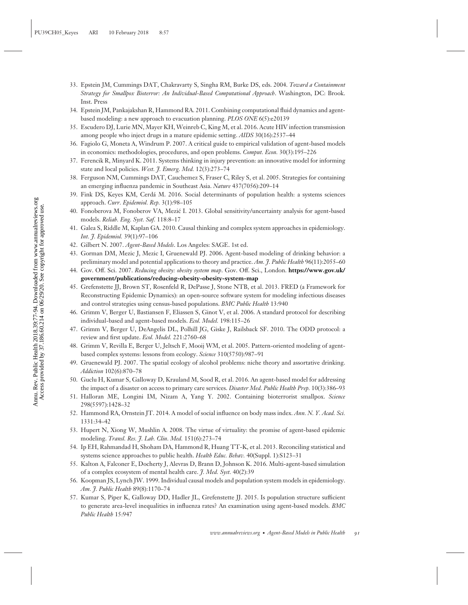- 33. Epstein JM, Cummings DAT, Chakravarty S, Singha RM, Burke DS, eds. 2004. *Toward a Containment Strategy for Smallpox Bioterror: An Individual-Based Computational Approach*. Washington, DC: Brook. Inst. Press
- 34. Epstein JM, Pankajakshan R, Hammond RA. 2011. Combining computational fluid dynamics and agentbased modeling: a new approach to evacuation planning. *PLOS ONE* 6(5):e20139
- 35. Escudero DJ, Lurie MN, Mayer KH, Weinreb C, King M, et al. 2016. Acute HIV infection transmission among people who inject drugs in a mature epidemic setting. *AIDS* 30(16):2537–44
- 36. Fagiolo G, Moneta A, Windrum P. 2007. A critical guide to empirical validation of agent-based models in economics: methodologies, procedures, and open problems. *Comput. Econ.* 30(3):195–226
- 37. Ferencik R, Minyard K. 2011. Systems thinking in injury prevention: an innovative model for informing state and local policies. *West. J. Emerg. Med.* 12(3):273–74
- 38. Ferguson NM, Cummings DAT, Cauchemez S, Fraser C, Riley S, et al. 2005. Strategies for containing an emerging influenza pandemic in Southeast Asia. *Nature* 437(7056):209–14
- 39. Fink DS, Keyes KM, Cerda M. 2016. Social determinants of population health: a systems sciences ´ approach. *Curr. Epidemiol. Rep.* 3(1):98–105
- 40. Fonoberova M, Fonoberov VA, Mezic I. 2013. Global sensitivity/uncertainty analysis for agent-based ´ models. *Reliab. Eng. Syst. Saf.* 118:8–17
- 41. Galea S, Riddle M, Kaplan GA. 2010. Causal thinking and complex system approaches in epidemiology. *Int. J. Epidemiol.* 39(1):97–106
- 42. Gilbert N. 2007. *Agent-Based Models*. Los Angeles: SAGE. 1st ed.
- 43. Gorman DM, Mezic J, Mezic I, Gruenewald PJ. 2006. Agent-based modeling of drinking behavior: a preliminary model and potential applications to theory and practice. *Am. J. Public Health* 96(11):2055–60
- 44. Gov. Off. Sci. 2007. *Reducing obesity: obesity system map*. Gov. Off. Sci., London. **[https://www.gov.uk/](https://www.gov.uk/government/publications/reducing-obesity-obesity-system-map) [government/publications/reducing-obesity-obesity-system-map](https://www.gov.uk/government/publications/reducing-obesity-obesity-system-map)**
- 45. Grefenstette JJ, Brown ST, Rosenfeld R, DePasse J, Stone NTB, et al. 2013. FRED (a Framework for Reconstructing Epidemic Dynamics): an open-source software system for modeling infectious diseases and control strategies using census-based populations. *BMC Public Health* 13:940
- 46. Grimm V, Berger U, Bastiansen F, Eliassen S, Ginot V, et al. 2006. A standard protocol for describing individual-based and agent-based models. *Ecol. Model.* 198:115–26
- 47. Grimm V, Berger U, DeAngelis DL, Polhill JG, Giske J, Railsback SF. 2010. The ODD protocol: a review and first update. *Ecol. Model.* 221:2760–68
- 48. Grimm V, Revilla E, Berger U, Jeltsch F, Mooij WM, et al. 2005. Pattern-oriented modeling of agentbased complex systems: lessons from ecology. *Science* 310(5750):987–91
- 49. Gruenewald PJ. 2007. The spatial ecology of alcohol problems: niche theory and assortative drinking. *Addiction* 102(6):870–78
- 50. Guclu H, Kumar S, Galloway D, Krauland M, Sood R, et al. 2016. An agent-based model for addressing the impact of a disaster on access to primary care services. *Disaster Med. Public Health Prep.* 10(3):386–93
- 51. Halloran ME, Longini IM, Nizam A, Yang Y. 2002. Containing bioterrorist smallpox. *Science* 298(5597):1428–32
- 52. Hammond RA, Ornstein JT. 2014. A model of social influence on body mass index. *Ann. N. Y. Acad. Sci.* 1331:34–42
- 53. Hupert N, Xiong W, Mushlin A. 2008. The virtue of virtuality: the promise of agent-based epidemic modeling. *Transl. Res. J. Lab. Clin. Med.* 151(6):273–74
- 54. Ip EH, Rahmandad H, Shoham DA, Hammond R, Huang TT-K, et al. 2013. Reconciling statistical and systems science approaches to public health. *Health Educ. Behav.* 40(Suppl. 1):S123–31
- 55. Kalton A, Falconer E, Docherty J, Alevras D, Brann D, Johnson K. 2016. Multi-agent-based simulation of a complex ecosystem of mental health care. *J. Med. Syst.* 40(2):39
- 56. Koopman JS, Lynch JW. 1999. Individual causal models and population system models in epidemiology. *Am. J. Public Health* 89(8):1170–74
- 57. Kumar S, Piper K, Galloway DD, Hadler JL, Grefenstette JJ. 2015. Is population structure sufficient to generate area-level inequalities in influenza rates? An examination using agent-based models. *BMC Public Health* 15:947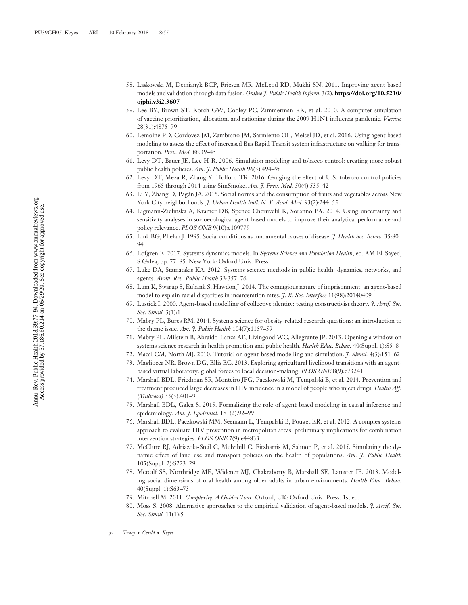- 58. Laskowski M, Demianyk BCP, Friesen MR, McLeod RD, Mukhi SN. 2011. Improving agent based models and validation through data fusion. *Online J. Public Health Inform.* 3(2). **[https://doi.org/10.5210/](https://doi.org/10.5210/ojphi.v3i2.3607) [ojphi.v3i2.3607](https://doi.org/10.5210/ojphi.v3i2.3607)**
- 59. Lee BY, Brown ST, Korch GW, Cooley PC, Zimmerman RK, et al. 2010. A computer simulation of vaccine prioritization, allocation, and rationing during the 2009 H1N1 influenza pandemic. *Vaccine* 28(31):4875–79
- 60. Lemoine PD, Cordovez JM, Zambrano JM, Sarmiento OL, Meisel JD, et al. 2016. Using agent based modeling to assess the effect of increased Bus Rapid Transit system infrastructure on walking for transportation. *Prev. Med.* 88:39–45
- 61. Levy DT, Bauer JE, Lee H-R. 2006. Simulation modeling and tobacco control: creating more robust public health policies. *Am. J. Public Health* 96(3):494–98
- 62. Levy DT, Meza R, Zhang Y, Holford TR. 2016. Gauging the effect of U.S. tobacco control policies from 1965 through 2014 using SimSmoke. *Am. J. Prev. Med.* 50(4):535–42
- 63. Li Y, Zhang D, Pagan JA. 2016. Social norms and the consumption of fruits and vegetables across New ´ York City neighborhoods. *J. Urban Health Bull. N. Y. Acad. Med.* 93(2):244–55
- 64. Ligmann-Zielinska A, Kramer DB, Spence Cheruvelil K, Soranno PA. 2014. Using uncertainty and sensitivity analyses in socioecological agent-based models to improve their analytical performance and policy relevance. *PLOS ONE* 9(10):e109779
- 65. Link BG, Phelan J. 1995. Social conditions as fundamental causes of disease. *J. Health Soc. Behav.* 35:80– 94
- 66. Lofgren E. 2017. Systems dynamics models. In *Systems Science and Population Health*, ed. AM El-Sayed, S Galea, pp. 77–85. New York: Oxford Univ. Press
- 67. Luke DA, Stamatakis KA. 2012. Systems science methods in public health: dynamics, networks, and agents. *Annu. Rev. Public Health* 33:357–76
- 68. Lum K, Swarup S, Eubank S, Hawdon J. 2014. The contagious nature of imprisonment: an agent-based model to explain racial disparities in incarceration rates. *J. R. Soc. Interface* 11(98):20140409
- 69. Lustick I. 2000. Agent-based modelling of collective identity: testing constructivist theory. *J. Artif. Soc. Soc. Simul.* 3(1):1
- 70. Mabry PL, Bures RM. 2014. Systems science for obesity-related research questions: an introduction to the theme issue. *Am. J. Public Health* 104(7):1157–59
- 71. Mabry PL, Milstein B, Abraido-Lanza AF, Livingood WC, Allegrante JP. 2013. Opening a window on systems science research in health promotion and public health. *Health Educ. Behav.* 40(Suppl. 1):S5–8
- 72. Macal CM, North MJ. 2010. Tutorial on agent-based modelling and simulation. *J. Simul.* 4(3):151–62
- 73. Magliocca NR, Brown DG, Ellis EC. 2013. Exploring agricultural livelihood transitions with an agentbased virtual laboratory: global forces to local decision-making. *PLOS ONE* 8(9):e73241
- 74. Marshall BDL, Friedman SR, Monteiro JFG, Paczkowski M, Tempalski B, et al. 2014. Prevention and treatment produced large decreases in HIV incidence in a model of people who inject drugs. *Health Aff. (Millwood)* 33(3):401–9
- 75. Marshall BDL, Galea S. 2015. Formalizing the role of agent-based modeling in causal inference and epidemiology. *Am. J. Epidemiol.* 181(2):92–99
- 76. Marshall BDL, Paczkowski MM, Seemann L, Tempalski B, Pouget ER, et al. 2012. A complex systems approach to evaluate HIV prevention in metropolitan areas: preliminary implications for combination intervention strategies. *PLOS ONE* 7(9):e44833
- 77. McClure RJ, Adriazola-Steil C, Mulvihill C, Fitzharris M, Salmon P, et al. 2015. Simulating the dynamic effect of land use and transport policies on the health of populations. *Am. J. Public Health* 105(Suppl. 2):S223–29
- 78. Metcalf SS, Northridge ME, Widener MJ, Chakraborty B, Marshall SE, Lamster IB. 2013. Modeling social dimensions of oral health among older adults in urban environments. *Health Educ. Behav.* 40(Suppl. 1):S63–73
- 79. Mitchell M. 2011. *Complexity: A Guided Tour*. Oxford, UK: Oxford Univ. Press. 1st ed.
- 80. Moss S. 2008. Alternative approaches to the empirical validation of agent-based models. *J. Artif. Soc. Soc. Simul.* 11(1):5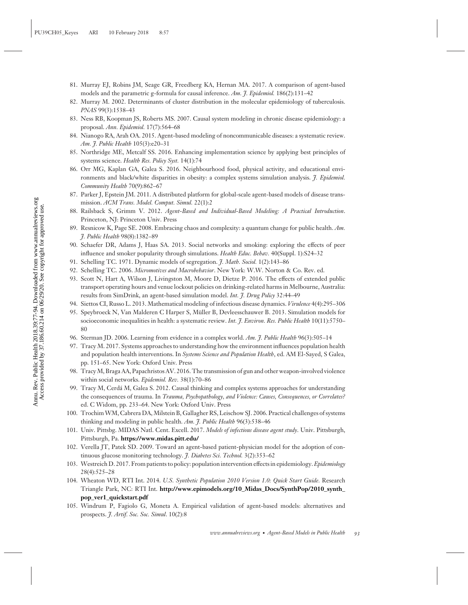- 81. Murray EJ, Robins JM, Seage GR, Freedberg KA, Hernan MA. 2017. A comparison of agent-based models and the parametric g-formula for causal inference. *Am. J. Epidemiol.* 186(2):131–42
- 82. Murray M. 2002. Determinants of cluster distribution in the molecular epidemiology of tuberculosis. *PNAS* 99(3):1538–43
- 83. Ness RB, Koopman JS, Roberts MS. 2007. Causal system modeling in chronic disease epidemiology: a proposal. *Ann. Epidemiol.* 17(7):564–68
- 84. Nianogo RA, Arah OA. 2015. Agent-based modeling of noncommunicable diseases: a systematic review. *Am. J. Public Health* 105(3):e20–31
- 85. Northridge ME, Metcalf SS. 2016. Enhancing implementation science by applying best principles of systems science. *Health Res. Policy Syst.* 14(1):74
- 86. Orr MG, Kaplan GA, Galea S. 2016. Neighbourhood food, physical activity, and educational environments and black/white disparities in obesity: a complex systems simulation analysis. *J. Epidemiol. Community Health* 70(9):862–67
- 87. Parker J, Epstein JM. 2011. A distributed platform for global-scale agent-based models of disease transmission. *ACM Trans. Model. Comput. Simul.* 22(1):2
- 88. Railsback S, Grimm V. 2012. *Agent-Based and Individual-Based Modeling: A Practical Introduction*. Princeton, NJ: Princeton Univ. Press
- 89. Resnicow K, Page SE. 2008. Embracing chaos and complexity: a quantum change for public health. *Am. J. Public Health* 98(8):1382–89
- 90. Schaefer DR, Adams J, Haas SA. 2013. Social networks and smoking: exploring the effects of peer influence and smoker popularity through simulations. *Health Educ. Behav.* 40(Suppl. 1):S24–32
- 91. Schelling TC. 1971. Dynamic models of segregation. *J. Math. Sociol.* 1(2):143–86
- 92. Schelling TC. 2006. *Micromotives and Macrobehavior*. New York: W.W. Norton & Co. Rev. ed.
- 93. Scott N, Hart A, Wilson J, Livingston M, Moore D, Dietze P. 2016. The effects of extended public transport operating hours and venue lockout policies on drinking-related harms in Melbourne, Australia: results from SimDrink, an agent-based simulation model. *Int. J. Drug Policy* 32:44–49
- 94. Siettos CI, Russo L. 2013. Mathematical modeling of infectious disease dynamics. *Virulence* 4(4):295–306
- 95. Speybroeck N, Van Malderen C Harper S, Müller B, Devleesschauwer B. 2013. Simulation models for socioeconomic inequalities in health: a systematic review. *Int. J. Environ. Res. Public Health* 10(11):5750– 80
- 96. Sterman JD. 2006. Learning from evidence in a complex world. *Am. J. Public Health* 96(3):505–14
- 97. Tracy M. 2017. Systems approaches to understanding how the environment influences population health and population health interventions. In *Systems Science and Population Health*, ed. AM El-Sayed, S Galea, pp. 151–65. New York: Oxford Univ. Press
- 98. TracyM, Braga AA, Papachristos AV. 2016. The transmission of gun and other weapon-involved violence within social networks. *Epidemiol. Rev.* 38(1):70–86
- 99. Tracy M, Cerda M, Galea S. 2012. Causal thinking and complex systems approaches for understanding ´ the consequences of trauma. In *Trauma, Psychopathology, and Violence: Causes, Consequences, or Correlates?* ed. C Widom, pp. 233–64. New York: Oxford Univ. Press
- 100. TrochimWM, Cabrera DA, Milstein B, Gallagher RS, Leischow SJ. 2006. Practical challenges of systems thinking and modeling in public health. *Am. J. Public Health* 96(3):538–46
- 101. Univ. Pittsbg. MIDAS Natl. Cent. Excell. 2017. *Models of infectious disease agent study*. Univ. Pittsburgh, Pittsburgh, Pa. **<https://www.midas.pitt.edu/>**
- 102. Verella JT, Patek SD. 2009. Toward an agent-based patient-physician model for the adoption of continuous glucose monitoring technology. *J. Diabetes Sci. Technol.* 3(2):353–62
- 103. Westreich D. 2017. From patients to policy: population intervention effects in epidemiology.*Epidemiology* 28(4):525–28
- 104. Wheaton WD, RTI Int. 2014. *U.S. Synthetic Population 2010 Version 1.0: Quick Start Guide.* Research Triangle Park, NC: RTI Int. **[http://www.epimodels.org/10\\_Midas\\_Docs/SynthPop/2010\\_synth\\_](http://www.epimodels.org/10_Midas_Docs/SynthPop/2010_synth_pop_ver1_quickstart.pdf) [pop\\_ver1\\_quickstart.pdf](http://www.epimodels.org/10_Midas_Docs/SynthPop/2010_synth_pop_ver1_quickstart.pdf)**
- 105. Windrum P, Fagiolo G, Moneta A. Empirical validation of agent-based models: alternatives and prospects. *J. Artif. Soc. Soc. Simul*. 10(2):8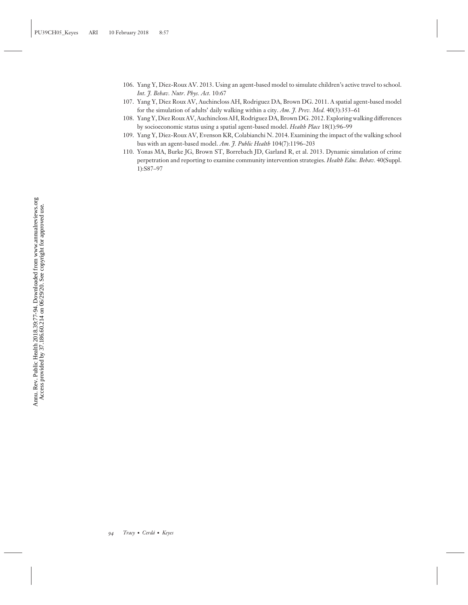- 106. Yang Y, Diez-Roux AV. 2013. Using an agent-based model to simulate children's active travel to school. *Int. J. Behav. Nutr. Phys. Act.* 10:67
- 107. Yang Y, Diez Roux AV, Auchincloss AH, Rodriguez DA, Brown DG. 2011. A spatial agent-based model for the simulation of adults' daily walking within a city. *Am. J. Prev. Med.* 40(3):353–61
- 108. Yang Y, Diez Roux AV, Auchincloss AH, Rodriguez DA, Brown DG. 2012. Exploring walking differences by socioeconomic status using a spatial agent-based model. *Health Place* 18(1):96–99
- 109. Yang Y, Diez-Roux AV, Evenson KR, Colabianchi N. 2014. Examining the impact of the walking school bus with an agent-based model. *Am. J. Public Health* 104(7):1196–203
- 110. Yonas MA, Burke JG, Brown ST, Borrebach JD, Garland R, et al. 2013. Dynamic simulation of crime perpetration and reporting to examine community intervention strategies. *Health Educ. Behav.* 40(Suppl. 1):S87–97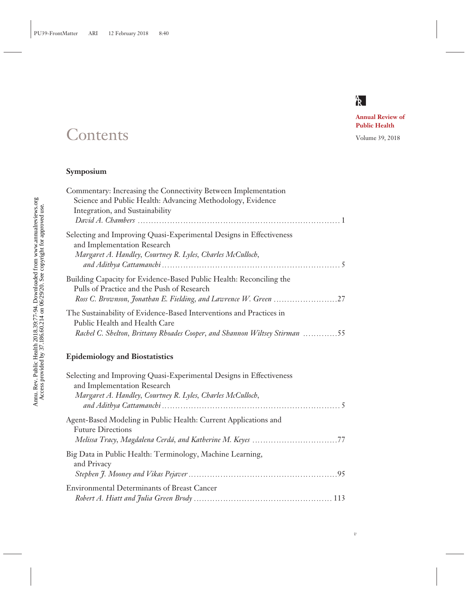

*v*

**Annual Review of Public Health**

## Contents Volume 39, 2018

## **Symposium**

| Commentary: Increasing the Connectivity Between Implementation             |
|----------------------------------------------------------------------------|
| Science and Public Health: Advancing Methodology, Evidence                 |
| Integration, and Sustainability                                            |
|                                                                            |
| Selecting and Improving Quasi-Experimental Designs in Effectiveness        |
| and Implementation Research                                                |
| Margaret A. Handley, Courtney R. Lyles, Charles McCulloch,                 |
|                                                                            |
| Building Capacity for Evidence-Based Public Health: Reconciling the        |
| Pulls of Practice and the Push of Research                                 |
|                                                                            |
| The Sustainability of Evidence-Based Interventions and Practices in        |
| Public Health and Health Care                                              |
| Rachel C. Shelton, Brittany Rhoades Cooper, and Shannon Wiltsey Stirman 55 |
| <b>Epidemiology and Biostatistics</b>                                      |
|                                                                            |

| Selecting and Improving Quasi-Experimental Designs in Effectiveness<br>and Implementation Research<br>Margaret A. Handley, Courtney R. Lyles, Charles McCulloch, |
|------------------------------------------------------------------------------------------------------------------------------------------------------------------|
| Agent-Based Modeling in Public Health: Current Applications and<br><b>Future Directions</b>                                                                      |
| Big Data in Public Health: Terminology, Machine Learning,<br>and Privacy                                                                                         |
| <b>Environmental Determinants of Breast Cancer</b>                                                                                                               |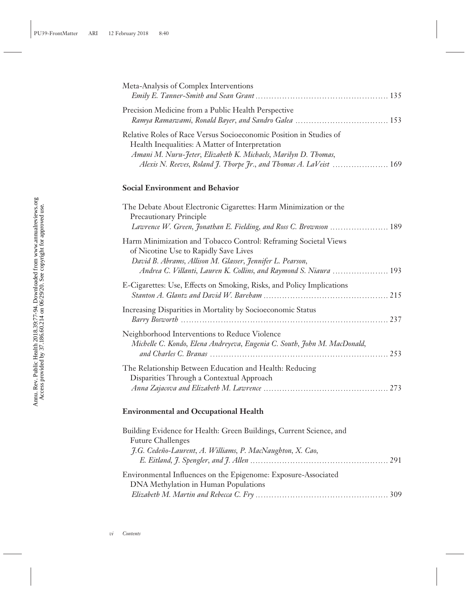| Meta-Analysis of Complex Interventions                                                                                                                                                                                                                        |  |
|---------------------------------------------------------------------------------------------------------------------------------------------------------------------------------------------------------------------------------------------------------------|--|
| Precision Medicine from a Public Health Perspective                                                                                                                                                                                                           |  |
| Relative Roles of Race Versus Socioeconomic Position in Studies of<br>Health Inequalities: A Matter of Interpretation<br>Amani M. Nuru-Jeter, Elizabeth K. Michaels, Marilyn D. Thomas,<br>Alexis N. Reeves, Roland J. Thorpe Jr., and Thomas A. LaVeist  169 |  |

## **Social Environment and Behavior**

| The Debate About Electronic Cigarettes: Harm Minimization or the<br><b>Precautionary Principle</b><br>Lawrence W. Green, Jonathan E. Fielding, and Ross C. Brownson  189                                                                   |  |
|--------------------------------------------------------------------------------------------------------------------------------------------------------------------------------------------------------------------------------------------|--|
| Harm Minimization and Tobacco Control: Reframing Societal Views<br>of Nicotine Use to Rapidly Save Lives<br>David B. Abrams, Allison M. Glasser, Jennifer L. Pearson,<br>Andrea C. Villanti, Lauren K. Collins, and Raymond S. Niaura  193 |  |
| E-Cigarettes: Use, Effects on Smoking, Risks, and Policy Implications                                                                                                                                                                      |  |
| Increasing Disparities in Mortality by Socioeconomic Status                                                                                                                                                                                |  |
| Neighborhood Interventions to Reduce Violence<br>Michelle C. Kondo, Elena Andreyeva, Eugenia C. South, John M. MacDonald,                                                                                                                  |  |
| The Relationship Between Education and Health: Reducing<br>Disparities Through a Contextual Approach                                                                                                                                       |  |

## **Environmental and Occupational Health**

| Building Evidence for Health: Green Buildings, Current Science, and |  |
|---------------------------------------------------------------------|--|
| <b>Future Challenges</b>                                            |  |
| J.G. Cedeño-Laurent, A. Williams, P. MacNaughton, X. Cao,           |  |
|                                                                     |  |
| Environmental Influences on the Epigenome: Exposure-Associated      |  |
| DNA Methylation in Human Populations                                |  |
|                                                                     |  |
|                                                                     |  |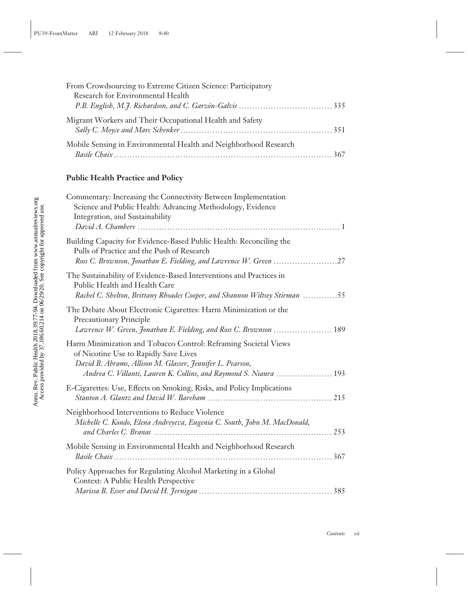| From Crowdsourcing to Extreme Citizen Science: Participatory     |  |
|------------------------------------------------------------------|--|
| Research for Environmental Health                                |  |
|                                                                  |  |
| Migrant Workers and Their Occupational Health and Safety         |  |
| Mobile Sensing in Environmental Health and Neighborhood Research |  |
|                                                                  |  |

## **Public Health Practice and Policy**

| Commentary: Increasing the Connectivity Between Implementation<br>Science and Public Health: Advancing Methodology, Evidence<br>Integration, and Sustainability                                                                            |
|--------------------------------------------------------------------------------------------------------------------------------------------------------------------------------------------------------------------------------------------|
| Building Capacity for Evidence-Based Public Health: Reconciling the<br>Pulls of Practice and the Push of Research<br>Ross C. Brownson, Jonathan E. Fielding, and Lawrence W. Green 27                                                      |
| The Sustainability of Evidence-Based Interventions and Practices in<br>Public Health and Health Care<br>Rachel C. Shelton, Brittany Rhoades Cooper, and Shannon Wiltsey Stirman 55                                                         |
| The Debate About Electronic Cigarettes: Harm Minimization or the<br><b>Precautionary Principle</b><br>Lawrence W. Green, Jonathan E. Fielding, and Ross C. Brownson  189                                                                   |
| Harm Minimization and Tobacco Control: Reframing Societal Views<br>of Nicotine Use to Rapidly Save Lives<br>David B. Abrams, Allison M. Glasser, Jennifer L. Pearson,<br>Andrea C. Villanti, Lauren K. Collins, and Raymond S. Niaura  193 |
| E-Cigarettes: Use, Effects on Smoking, Risks, and Policy Implications                                                                                                                                                                      |
| Neighborhood Interventions to Reduce Violence<br>Michelle C. Kondo, Elena Andreyeva, Eugenia C. South, John M. MacDonald,                                                                                                                  |
| Mobile Sensing in Environmental Health and Neighborhood Research                                                                                                                                                                           |
| Policy Approaches for Regulating Alcohol Marketing in a Global<br>Context: A Public Health Perspective                                                                                                                                     |
|                                                                                                                                                                                                                                            |